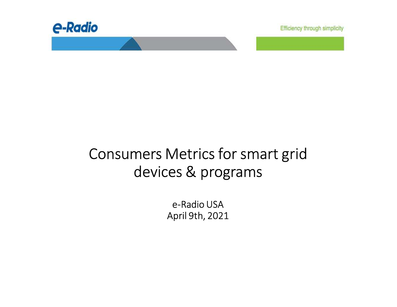

Efficiency through simplicity

# Consumers Metrics for smart grid devices & programs

e-Radio USAApril 9th, 2021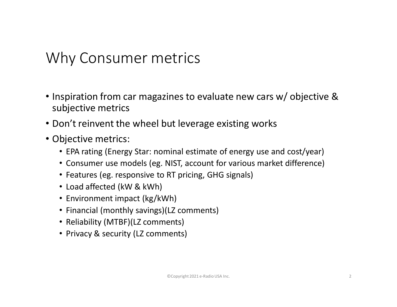### Why Consumer metrics

- Inspiration from car magazines to evaluate new cars w/ objective & subjective metrics
- Don't reinvent the wheel but leverage existing works
- Objective metrics:
	- EPA rating (Energy Star: nominal estimate of energy use and cost/year)
	- Consumer use models (eg. NIST, account for various market difference)
	- Features (eg. responsive to RT pricing, GHG signals)
	- Load affected (kW & kWh)
	- Environment impact (kg/kWh)
	- Financial (monthly savings)(LZ comments)
	- Reliability (MTBF)(LZ comments)
	- Privacy & security (LZ comments)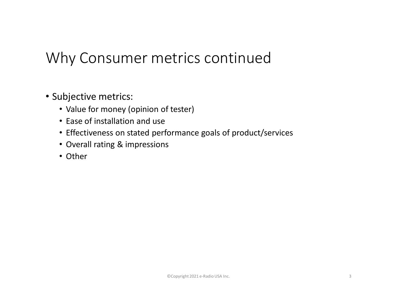### Why Consumer metrics continued

- Subjective metrics:
	- Value for money (opinion of tester)
	- Ease of installation and use
	- Effectiveness on stated performance goals of product/services
	- Overall rating & impressions
	- Other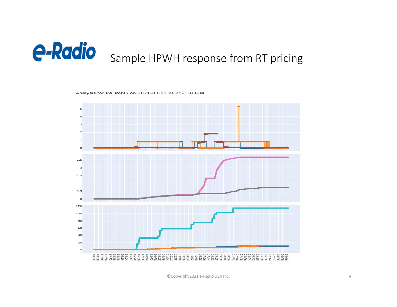

Analysis for RADa995 on 2021-03-01 vs 2021-03-04



©Copyright 2021 e-Radio USA Inc.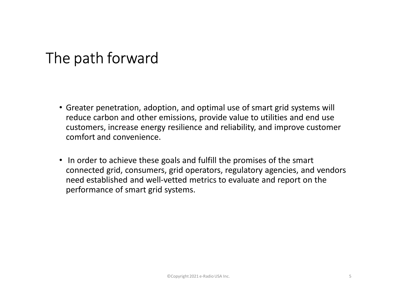## The path forward

- Greater penetration, adoption, and optimal use of smart grid systems will reduce carbon and other emissions, provide value to utilities and end use customers, increase energy resilience and reliability, and improve customer comfort and convenience.
- In order to achieve these goals and fulfill the promises of the smart connected grid, consumers, grid operators, regulatory agencies, and vendors need established and well-vetted metrics to evaluate and report on the performance of smart grid systems.